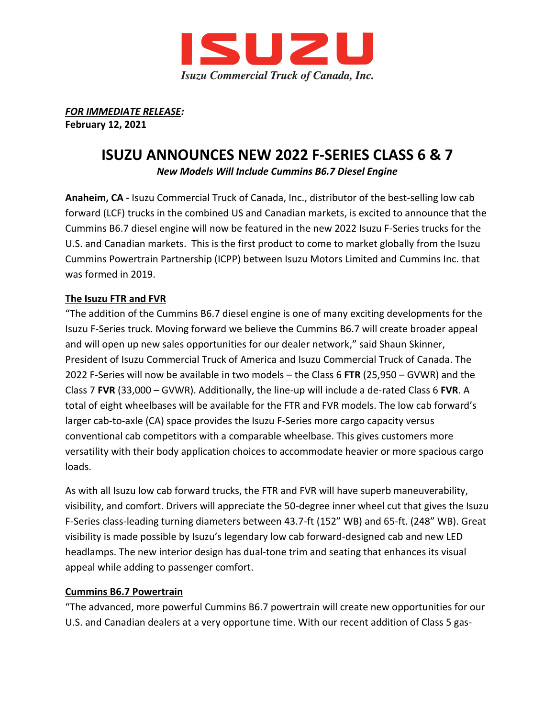

*FOR IMMEDIATE RELEASE:* **February 12, 2021**

# **ISUZU ANNOUNCES NEW 2022 F-SERIES CLASS 6 & 7**

*New Models Will Include Cummins B6.7 Diesel Engine* 

**Anaheim, CA -** Isuzu Commercial Truck of Canada, Inc., distributor of the best-selling low cab forward (LCF) trucks in the combined US and Canadian markets, is excited to announce that the Cummins B6.7 diesel engine will now be featured in the new 2022 Isuzu F-Series trucks for the U.S. and Canadian markets. This is the first product to come to market globally from the Isuzu Cummins Powertrain Partnership (ICPP) between Isuzu Motors Limited and Cummins Inc. that was formed in 2019.

## **The Isuzu FTR and FVR**

"The addition of the Cummins B6.7 diesel engine is one of many exciting developments for the Isuzu F-Series truck. Moving forward we believe the Cummins B6.7 will create broader appeal and will open up new sales opportunities for our dealer network," said Shaun Skinner, President of Isuzu Commercial Truck of America and Isuzu Commercial Truck of Canada. The 2022 F-Series will now be available in two models – the Class 6 **FTR** (25,950 – GVWR) and the Class 7 **FVR** (33,000 – GVWR). Additionally, the line-up will include a de-rated Class 6 **FVR**. A total of eight wheelbases will be available for the FTR and FVR models. The low cab forward's larger cab-to-axle (CA) space provides the Isuzu F-Series more cargo capacity versus conventional cab competitors with a comparable wheelbase. This gives customers more versatility with their body application choices to accommodate heavier or more spacious cargo loads.

As with all Isuzu low cab forward trucks, the FTR and FVR will have superb maneuverability, visibility, and comfort. Drivers will appreciate the 50-degree inner wheel cut that gives the Isuzu F-Series class-leading turning diameters between 43.7-ft (152" WB) and 65-ft. (248" WB). Great visibility is made possible by Isuzu's legendary low cab forward-designed cab and new LED headlamps. The new interior design has dual-tone trim and seating that enhances its visual appeal while adding to passenger comfort.

#### **Cummins B6.7 Powertrain**

"The advanced, more powerful Cummins B6.7 powertrain will create new opportunities for our U.S. and Canadian dealers at a very opportune time. With our recent addition of Class 5 gas-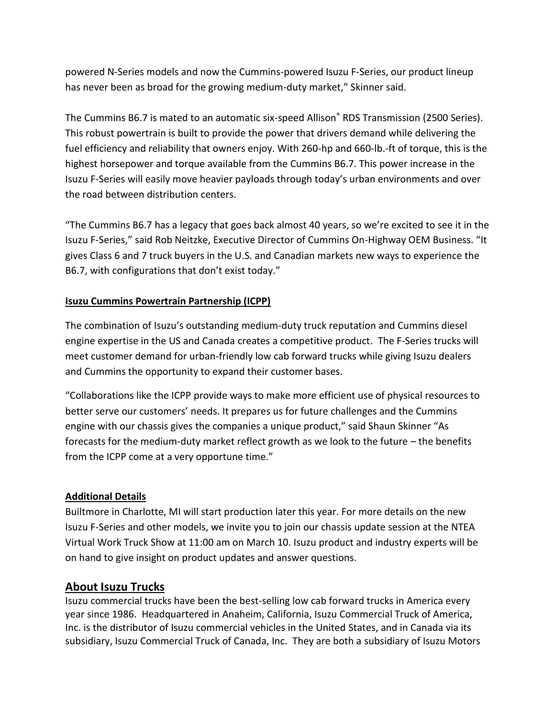powered N-Series models and now the Cummins-powered Isuzu F-Series, our product lineup has never been as broad for the growing medium-duty market," Skinner said.

The Cummins B6.7 is mated to an automatic six-speed Allison® RDS Transmission (2500 Series). This robust powertrain is built to provide the power that drivers demand while delivering the fuel efficiency and reliability that owners enjoy. With 260-hp and 660-lb.-ft of torque, this is the highest horsepower and torque available from the Cummins B6.7. This power increase in the Isuzu F-Series will easily move heavier payloads through today's urban environments and over the road between distribution centers.

"The Cummins B6.7 has a legacy that goes back almost 40 years, so we're excited to see it in the Isuzu F-Series," said Rob Neitzke, Executive Director of Cummins On-Highway OEM Business. "It gives Class 6 and 7 truck buyers in the U.S. and Canadian markets new ways to experience the B6.7, with configurations that don't exist today."

## **Isuzu Cummins Powertrain Partnership (ICPP)**

The combination of Isuzu's outstanding medium-duty truck reputation and Cummins diesel engine expertise in the US and Canada creates a competitive product. The F-Series trucks will meet customer demand for urban-friendly low cab forward trucks while giving Isuzu dealers and Cummins the opportunity to expand their customer bases.

"Collaborations like the ICPP provide ways to make more efficient use of physical resources to better serve our customers' needs. It prepares us for future challenges and the Cummins engine with our chassis gives the companies a unique product," said Shaun Skinner "As forecasts for the medium-duty market reflect growth as we look to the future – the benefits from the ICPP come at a very opportune time."

#### **Additional Details**

Builtmore in Charlotte, MI will start production later this year. For more details on the new Isuzu F-Series and other models, we invite you to join our chassis update session at the NTEA Virtual Work Truck Show at 11:00 am on March 10. Isuzu product and industry experts will be on hand to give insight on product updates and answer questions.

# **About Isuzu Trucks**

Isuzu commercial trucks have been the best-selling low cab forward trucks in America every year since 1986. Headquartered in Anaheim, California, Isuzu Commercial Truck of America, Inc. is the distributor of Isuzu commercial vehicles in the United States, and in Canada via its subsidiary, Isuzu Commercial Truck of Canada, Inc. They are both a subsidiary of Isuzu Motors